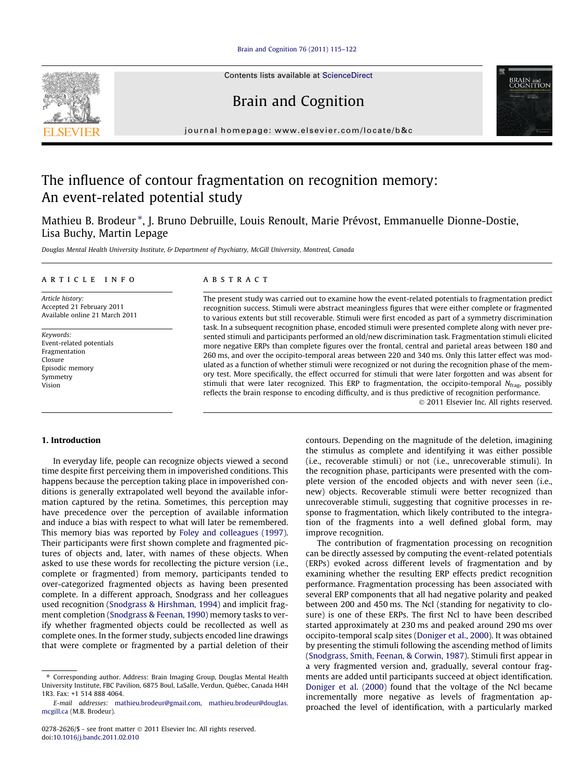## [Brain and Cognition 76 \(2011\) 115–122](http://dx.doi.org/10.1016/j.bandc.2011.02.010)



Contents lists available at [ScienceDirect](http://www.sciencedirect.com/science/journal/02782626)

# Brain and Cognition

journal homepage: [www.elsevier.com/locate/b&c](http://www.elsevier.com/locate/b&c)

# The influence of contour fragmentation on recognition memory: An event-related potential study

Mathieu B. Brodeur \*, J. Bruno Debruille, Louis Renoult, Marie Prévost, Emmanuelle Dionne-Dostie, Lisa Buchy, Martin Lepage

Douglas Mental Health University Institute, & Department of Psychiatry, McGill University, Montreal, Canada

#### article info

Article history: Accepted 21 February 2011 Available online 21 March 2011

Keywords: Event-related potentials Fragmentation Closure Episodic memory Symmetry Vision

## ABSTRACT

The present study was carried out to examine how the event-related potentials to fragmentation predict recognition success. Stimuli were abstract meaningless figures that were either complete or fragmented to various extents but still recoverable. Stimuli were first encoded as part of a symmetry discrimination task. In a subsequent recognition phase, encoded stimuli were presented complete along with never presented stimuli and participants performed an old/new discrimination task. Fragmentation stimuli elicited more negative ERPs than complete figures over the frontal, central and parietal areas between 180 and 260 ms, and over the occipito-temporal areas between 220 and 340 ms. Only this latter effect was modulated as a function of whether stimuli were recognized or not during the recognition phase of the memory test. More specifically, the effect occurred for stimuli that were later forgotten and was absent for stimuli that were later recognized. This ERP to fragmentation, the occipito-temporal  $N_{\text{frac}}$ , possibly reflects the brain response to encoding difficulty, and is thus predictive of recognition performance. - 2011 Elsevier Inc. All rights reserved.

#### 1. Introduction

In everyday life, people can recognize objects viewed a second time despite first perceiving them in impoverished conditions. This happens because the perception taking place in impoverished conditions is generally extrapolated well beyond the available information captured by the retina. Sometimes, this perception may have precedence over the perception of available information and induce a bias with respect to what will later be remembered. This memory bias was reported by [Foley and colleagues \(1997\).](#page--1-0) Their participants were first shown complete and fragmented pictures of objects and, later, with names of these objects. When asked to use these words for recollecting the picture version (i.e., complete or fragmented) from memory, participants tended to over-categorized fragmented objects as having been presented complete. In a different approach, Snodgrass and her colleagues used recognition ([Snodgrass & Hirshman, 1994](#page--1-0)) and implicit fragment completion ([Snodgrass & Feenan, 1990\)](#page--1-0) memory tasks to verify whether fragmented objects could be recollected as well as complete ones. In the former study, subjects encoded line drawings that were complete or fragmented by a partial deletion of their contours. Depending on the magnitude of the deletion, imagining the stimulus as complete and identifying it was either possible (i.e., recoverable stimuli) or not (i.e., unrecoverable stimuli). In the recognition phase, participants were presented with the complete version of the encoded objects and with never seen (i.e., new) objects. Recoverable stimuli were better recognized than unrecoverable stimuli, suggesting that cognitive processes in response to fragmentation, which likely contributed to the integration of the fragments into a well defined global form, may improve recognition.

The contribution of fragmentation processing on recognition can be directly assessed by computing the event-related potentials (ERPs) evoked across different levels of fragmentation and by examining whether the resulting ERP effects predict recognition performance. Fragmentation processing has been associated with several ERP components that all had negative polarity and peaked between 200 and 450 ms. The Ncl (standing for negativity to closure) is one of these ERPs. The first Ncl to have been described started approximately at 230 ms and peaked around 290 ms over occipito-temporal scalp sites ([Doniger et al., 2000\)](#page--1-0). It was obtained by presenting the stimuli following the ascending method of limits ([Snodgrass, Smith, Feenan, & Corwin, 1987\)](#page--1-0). Stimuli first appear in a very fragmented version and, gradually, several contour fragments are added until participants succeed at object identification. [Doniger et al. \(2000\)](#page--1-0) found that the voltage of the Ncl became incrementally more negative as levels of fragmentation approached the level of identification, with a particularly marked

<sup>⇑</sup> Corresponding author. Address: Brain Imaging Group, Douglas Mental Health University Institute, FBC Pavilion, 6875 Boul, LaSalle, Verdun, Québec, Canada H4H 1R3. Fax: +1 514 888 4064.

E-mail addresses: [mathieu.brodeur@gmail.com](mailto:mathieu.brodeur@gmail.com), [mathieu.brodeur@douglas.](mailto:mathieu.brodeur@douglas. mcgill.ca) [mcgill.ca](mailto:mathieu.brodeur@douglas. mcgill.ca) (M.B. Brodeur).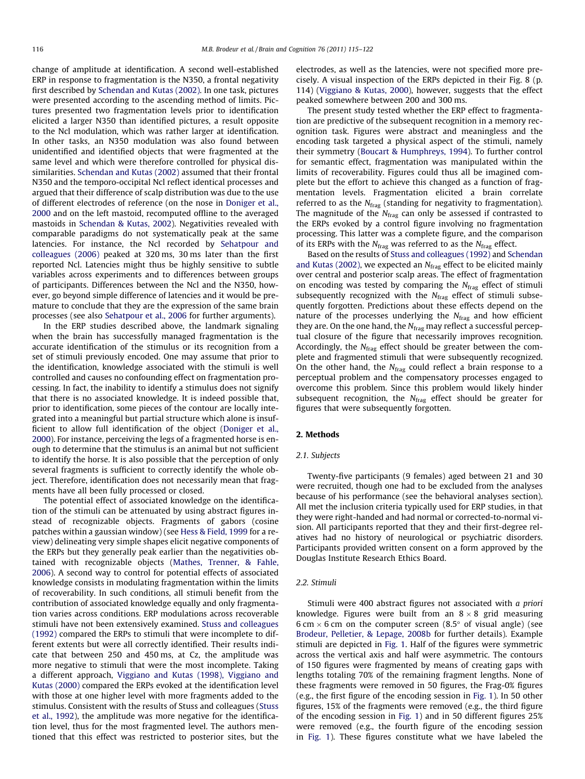change of amplitude at identification. A second well-established ERP in response to fragmentation is the N350, a frontal negativity first described by [Schendan and Kutas \(2002\).](#page--1-0) In one task, pictures were presented according to the ascending method of limits. Pictures presented two fragmentation levels prior to identification elicited a larger N350 than identified pictures, a result opposite to the Ncl modulation, which was rather larger at identification. In other tasks, an N350 modulation was also found between unidentified and identified objects that were fragmented at the same level and which were therefore controlled for physical dissimilarities. [Schendan and Kutas \(2002\)](#page--1-0) assumed that their frontal N350 and the temporo-occipital Ncl reflect identical processes and argued that their difference of scalp distribution was due to the use of different electrodes of reference (on the nose in [Doniger et al.,](#page--1-0) [2000](#page--1-0) and on the left mastoid, recomputed offline to the averaged mastoids in [Schendan & Kutas, 2002\)](#page--1-0). Negativities revealed with comparable paradigms do not systematically peak at the same latencies. For instance, the Ncl recorded by [Sehatpour and](#page--1-0) [colleagues \(2006\)](#page--1-0) peaked at 320 ms, 30 ms later than the first reported Ncl. Latencies might thus be highly sensitive to subtle variables across experiments and to differences between groups of participants. Differences between the Ncl and the N350, however, go beyond simple difference of latencies and it would be premature to conclude that they are the expression of the same brain processes (see also [Sehatpour et al., 2006](#page--1-0) for further arguments).

In the ERP studies described above, the landmark signaling when the brain has successfully managed fragmentation is the accurate identification of the stimulus or its recognition from a set of stimuli previously encoded. One may assume that prior to the identification, knowledge associated with the stimuli is well controlled and causes no confounding effect on fragmentation processing. In fact, the inability to identify a stimulus does not signify that there is no associated knowledge. It is indeed possible that, prior to identification, some pieces of the contour are locally integrated into a meaningful but partial structure which alone is insufficient to allow full identification of the object ([Doniger et al.,](#page--1-0) [2000\)](#page--1-0). For instance, perceiving the legs of a fragmented horse is enough to determine that the stimulus is an animal but not sufficient to identify the horse. It is also possible that the perception of only several fragments is sufficient to correctly identify the whole object. Therefore, identification does not necessarily mean that fragments have all been fully processed or closed.

The potential effect of associated knowledge on the identification of the stimuli can be attenuated by using abstract figures instead of recognizable objects. Fragments of gabors (cosine patches within a gaussian window) (see [Hess & Field, 1999](#page--1-0) for a review) delineating very simple shapes elicit negative components of the ERPs but they generally peak earlier than the negativities obtained with recognizable objects [\(Mathes, Trenner, & Fahle,](#page--1-0) [2006\)](#page--1-0). A second way to control for potential effects of associated knowledge consists in modulating fragmentation within the limits of recoverability. In such conditions, all stimuli benefit from the contribution of associated knowledge equally and only fragmentation varies across conditions. ERP modulations across recoverable stimuli have not been extensively examined. [Stuss and colleagues](#page--1-0) [\(1992\)](#page--1-0) compared the ERPs to stimuli that were incomplete to different extents but were all correctly identified. Their results indicate that between 250 and 450 ms, at Cz, the amplitude was more negative to stimuli that were the most incomplete. Taking a different approach, [Viggiano and Kutas \(1998\), Viggiano and](#page--1-0) [Kutas \(2000\)](#page--1-0) compared the ERPs evoked at the identification level with those at one higher level with more fragments added to the stimulus. Consistent with the results of Stuss and colleagues [\(Stuss](#page--1-0) [et al., 1992\)](#page--1-0), the amplitude was more negative for the identification level, thus for the most fragmented level. The authors mentioned that this effect was restricted to posterior sites, but the

electrodes, as well as the latencies, were not specified more precisely. A visual inspection of the ERPs depicted in their Fig. 8 (p. 114) [\(Viggiano & Kutas, 2000\)](#page--1-0), however, suggests that the effect peaked somewhere between 200 and 300 ms.

The present study tested whether the ERP effect to fragmentation are predictive of the subsequent recognition in a memory recognition task. Figures were abstract and meaningless and the encoding task targeted a physical aspect of the stimuli, namely their symmetry [\(Boucart & Humphreys, 1994](#page--1-0)). To further control for semantic effect, fragmentation was manipulated within the limits of recoverability. Figures could thus all be imagined complete but the effort to achieve this changed as a function of fragmentation levels. Fragmentation elicited a brain correlate referred to as the  $N_{\text{frag}}$  (standing for negativity to fragmentation). The magnitude of the  $N_{\text{frag}}$  can only be assessed if contrasted to the ERPs evoked by a control figure involving no fragmentation processing. This latter was a complete figure, and the comparison of its ERPs with the  $N_{\text{frag}}$  was referred to as the  $N_{\text{frag}}$  effect.

Based on the results of [Stuss and colleagues \(1992\)](#page--1-0) and [Schendan](#page--1-0) [and Kutas \(2002\),](#page--1-0) we expected an  $N_{\text{frag}}$  effect to be elicited mainly over central and posterior scalp areas. The effect of fragmentation on encoding was tested by comparing the  $N_{\text{frag}}$  effect of stimuli subsequently recognized with the  $N_{\text{frag}}$  effect of stimuli subsequently forgotten. Predictions about these effects depend on the nature of the processes underlying the  $N_{\text{frag}}$  and how efficient they are. On the one hand, the  $N_{\text{frag}}$  may reflect a successful perceptual closure of the figure that necessarily improves recognition. Accordingly, the  $N_{\text{frag}}$  effect should be greater between the complete and fragmented stimuli that were subsequently recognized. On the other hand, the  $N_{\text{frag}}$  could reflect a brain response to a perceptual problem and the compensatory processes engaged to overcome this problem. Since this problem would likely hinder subsequent recognition, the  $N_{frag}$  effect should be greater for figures that were subsequently forgotten.

## 2. Methods

#### 2.1. Subjects

Twenty-five participants (9 females) aged between 21 and 30 were recruited, though one had to be excluded from the analyses because of his performance (see the behavioral analyses section). All met the inclusion criteria typically used for ERP studies, in that they were right-handed and had normal or corrected-to-normal vision. All participants reported that they and their first-degree relatives had no history of neurological or psychiatric disorders. Participants provided written consent on a form approved by the Douglas Institute Research Ethics Board.

#### 2.2. Stimuli

Stimuli were 400 abstract figures not associated with a priori knowledge. Figures were built from an  $8 \times 8$  grid measuring 6 cm  $\times$  6 cm on the computer screen (8.5 $^{\circ}$  of visual angle) (see [Brodeur, Pelletier, & Lepage, 2008b](#page--1-0) for further details). Example stimuli are depicted in [Fig. 1.](#page--1-0) Half of the figures were symmetric across the vertical axis and half were asymmetric. The contours of 150 figures were fragmented by means of creating gaps with lengths totaling 70% of the remaining fragment lengths. None of these fragments were removed in 50 figures, the Frag-0% figures (e.g., the first figure of the encoding session in [Fig. 1](#page--1-0)). In 50 other figures, 15% of the fragments were removed (e.g., the third figure of the encoding session in [Fig. 1](#page--1-0)) and in 50 different figures 25% were removed (e.g., the fourth figure of the encoding session in [Fig. 1](#page--1-0)). These figures constitute what we have labeled the